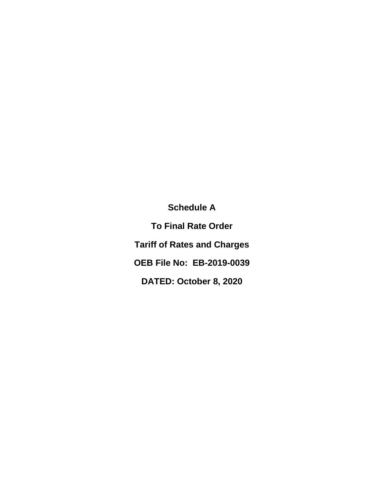**Schedule A To Final Rate Order Tariff of Rates and Charges OEB File No: EB-2019-0039**

**DATED: October 8, 2020**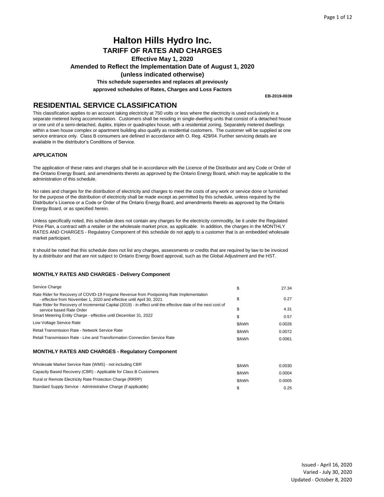**Amended to Reflect the Implementation Date of August 1, 2020** 

**(unless indicated otherwise)**

**This schedule supersedes and replaces all previously**

**approved schedules of Rates, Charges and Loss Factors**

**EB-2019-0039**

## **RESIDENTIAL SERVICE CLASSIFICATION**

This classification applies to an account taking electricity at 750 volts or less where the electricity is used exclusively in a separate metered living accommodation. Customers shall be residing in single-dwelling units that consist of a detached house or one unit of a semi-detached, duplex, triplex or quadruplex house, with a residential zoning. Separately metered dwellings within a town house complex or apartment building also qualify as residential customers. The customer will be supplied at one service entrance only. Class B consumers are defined in accordance with O. Reg. 429/04. Further servicing details are available in the distributor's Conditions of Service.

### **APPLICATION**

The application of these rates and charges shall be in accordance with the Licence of the Distributor and any Code or Order of the Ontario Energy Board, and amendments thereto as approved by the Ontario Energy Board, which may be applicable to the administration of this schedule.

No rates and charges for the distribution of electricity and charges to meet the costs of any work or service done or furnished for the purpose of the distribution of electricity shall be made except as permitted by this schedule, unless required by the Distributor's Licence or a Code or Order of the Ontario Energy Board, and amendments thereto as approved by the Ontario Energy Board, or as specified herein.

Unless specifically noted, this schedule does not contain any charges for the electricity commodity, be it under the Regulated Price Plan, a contract with a retailer or the wholesale market price, as applicable. In addition, the charges in the MONTHLY RATES AND CHARGES - Regulatory Component of this schedule do not apply to a customer that is an embedded wholesale market participant.

It should be noted that this schedule does not list any charges, assessments or credits that are required by law to be invoiced by a distributor and that are not subject to Ontario Energy Board approval, such as the Global Adjustment and the HST.

| Service Charge                                                                                                                                                  | \$     | 27.34  |
|-----------------------------------------------------------------------------------------------------------------------------------------------------------------|--------|--------|
| Rate Rider for Recovery of COVID-19 Forgone Revenue from Postponing Rate Implementation<br>- effective from November 1, 2020 and effective until April 30, 2021 | \$     | 0.27   |
| Rate Rider for Recovery of Incremental Capital (2019) - in effect until the effective date of the next cost of<br>service based Rate Order                      | S      | 4.31   |
| Smart Metering Entity Charge - effective until December 31, 2022                                                                                                | \$     | 0.57   |
| Low Voltage Service Rate                                                                                                                                        | \$/kWh | 0.0026 |
| Retail Transmission Rate - Network Service Rate                                                                                                                 | \$/kWh | 0.0072 |
| Retail Transmission Rate - Line and Transformation Connection Service Rate                                                                                      | \$/kWh | 0.0061 |
| <b>MONTHLY RATES AND CHARGES - Regulatory Component</b>                                                                                                         |        |        |
| Wholesale Market Service Rate (WMS) - not including CBR                                                                                                         | \$/kWh | 0.0030 |
| Capacity Based Recovery (CBR) - Applicable for Class B Customers                                                                                                | \$/kWh | 0.0004 |
| Rural or Remote Electricity Rate Protection Charge (RRRP)                                                                                                       | \$/kWh | 0.0005 |
| Standard Supply Service - Administrative Charge (if applicable)                                                                                                 | S      | 0.25   |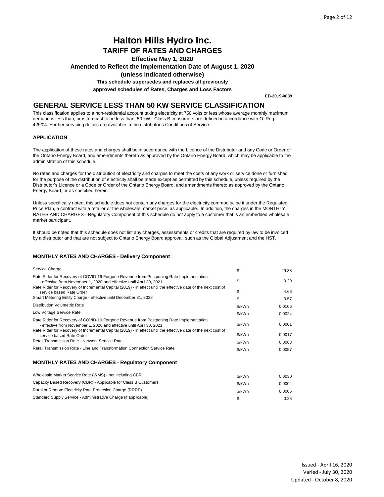# **Halton Hills Hydro Inc.**

**TARIFF OF RATES AND CHARGES**

**Effective May 1, 2020** 

**Amended to Reflect the Implementation Date of August 1, 2020** 

### **(unless indicated otherwise)**

**This schedule supersedes and replaces all previously**

**approved schedules of Rates, Charges and Loss Factors**

**EB-2019-0039**

## **GENERAL SERVICE LESS THAN 50 KW SERVICE CLASSIFICATION**

This classification applies to a non-residential account taking electricity at 750 volts or less whose average monthly maximum demand is less than, or is forecast to be less than, 50 kW. Class B consumers are defined in accordance with O. Reg. 429/04. Further servicing details are available in the distributor's Conditions of Service.

### **APPLICATION**

The application of these rates and charges shall be in accordance with the Licence of the Distributor and any Code or Order of the Ontario Energy Board, and amendments thereto as approved by the Ontario Energy Board, which may be applicable to the administration of this schedule.

No rates and charges for the distribution of electricity and charges to meet the costs of any work or service done or furnished for the purpose of the distribution of electricity shall be made except as permitted by this schedule, unless required by the Distributor's Licence or a Code or Order of the Ontario Energy Board, and amendments thereto as approved by the Ontario Energy Board, or as specified herein.

Unless specifically noted, this schedule does not contain any charges for the electricity commodity, be it under the Regulated Price Plan, a contract with a retailer or the wholesale market price, as applicable. In addition, the charges in the MONTHLY RATES AND CHARGES - Regulatory Component of this schedule do not apply to a customer that is an embedded wholesale market participant.

It should be noted that this schedule does not list any charges, assessments or credits that are required by law to be invoiced by a distributor and that are not subject to Ontario Energy Board approval, such as the Global Adjustment and the HST.

#### **MONTHLY RATES AND CHARGES - Delivery Component**

| Service Charge                                                                                                                                                                                                                                                                    | \$     | 29.38  |
|-----------------------------------------------------------------------------------------------------------------------------------------------------------------------------------------------------------------------------------------------------------------------------------|--------|--------|
| Rate Rider for Recovery of COVID-19 Forgone Revenue from Postponing Rate Implementation<br>- effective from November 1, 2020 and effective until April 30, 2021                                                                                                                   | \$     | 0.29   |
| Rate Rider for Recovery of Incremental Capital (2019) - in effect until the effective date of the next cost of<br>service based Rate Order                                                                                                                                        | \$     | 4.66   |
| Smart Metering Entity Charge - effective until December 31, 2022                                                                                                                                                                                                                  | \$     | 0.57   |
| <b>Distribution Volumetric Rate</b>                                                                                                                                                                                                                                               | \$/kWh | 0.0106 |
| Low Voltage Service Rate                                                                                                                                                                                                                                                          | \$/kWh | 0.0024 |
| Rate Rider for Recovery of COVID-19 Forgone Revenue from Postponing Rate Implementation<br>- effective from November 1, 2020 and effective until April 30, 2021<br>Rate Rider for Recovery of Incremental Capital (2019) - in effect until the effective date of the next cost of | \$/kWh | 0.0001 |
| service based Rate Order                                                                                                                                                                                                                                                          | \$/kWh | 0.0017 |
| Retail Transmission Rate - Network Service Rate                                                                                                                                                                                                                                   | \$/kWh | 0.0063 |
| Retail Transmission Rate - Line and Transformation Connection Service Rate                                                                                                                                                                                                        | \$/kWh | 0.0057 |
| <b>MONTHLY RATES AND CHARGES - Regulatory Component</b>                                                                                                                                                                                                                           |        |        |
| Wholesale Market Service Rate (WMS) - not including CBR                                                                                                                                                                                                                           | \$/kWh | 0.0030 |
| Capacity Based Recovery (CBR) - Applicable for Class B Customers                                                                                                                                                                                                                  | \$/kWh | 0.0004 |
| Rural or Remote Electricity Rate Protection Charge (RRRP)                                                                                                                                                                                                                         | \$/kWh | 0.0005 |

Standard Supply Service - Administrative Charge (if applicable) 6. 25 0.25 (1996) 8. [1996] Standard Supply Service - 0.25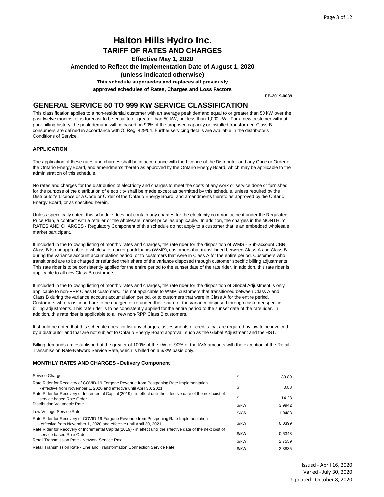## **Halton Hills Hydro Inc. TARIFF OF RATES AND CHARGES Effective May 1, 2020 Amended to Reflect the Implementation Date of August 1, 2020 (unless indicated otherwise)**

**This schedule supersedes and replaces all previously**

**approved schedules of Rates, Charges and Loss Factors**

**EB-2019-0039**

## **GENERAL SERVICE 50 TO 999 KW SERVICE CLASSIFICATION**

This classification applies to a non-residential customer with an average peak demand equal to or greater than 50 kW over the past twelve months, or is forecast to be equal to or greater than 50 kW, but less than 1,000 kW. For a new customer without prior billing history, the peak demand will be based on 90% of the proposed capacity or installed transformer. Class B consumers are defined in accordance with O. Reg. 429/04. Further servicing details are available in the distributor's Conditions of Service.

### **APPLICATION**

The application of these rates and charges shall be in accordance with the Licence of the Distributor and any Code or Order of the Ontario Energy Board, and amendments thereto as approved by the Ontario Energy Board, which may be applicable to the administration of this schedule.

No rates and charges for the distribution of electricity and charges to meet the costs of any work or service done or furnished for the purpose of the distribution of electricity shall be made except as permitted by this schedule, unless required by the Distributor's Licence or a Code or Order of the Ontario Energy Board, and amendments thereto as approved by the Ontario Energy Board, or as specified herein.

Unless specifically noted, this schedule does not contain any charges for the electricity commodity, be it under the Regulated Price Plan, a contract with a retailer or the wholesale market price, as applicable. In addition, the charges in the MONTHLY RATES AND CHARGES - Regulatory Component of this schedule do not apply to a customer that is an embedded wholesale market participant.

If included in the following listing of monthly rates and charges, the rate rider for the disposition of WMS - Sub-account CBR Class B is not applicable to wholesale market participants (WMP), customers that transitioned between Class A and Class B during the variance account accumulation period, or to customers that were in Class A for the entire period. Customers who transitioned are to be charged or refunded their share of the variance disposed through customer specific billing adjustments. This rate rider is to be consistently applied for the entire period to the sunset date of the rate rider. In addition, this rate rider is applicable to all new Class B customers.

If included in the following listing of monthly rates and charges, the rate rider for the disposition of Global Adjustment is only applicable to non-RPP Class B customers. It is not applicable to WMP, customers that transitioned between Class A and Class B during the variance account accumulation period, or to customers that were in Class A for the entire period. Customers who transitioned are to be charged or refunded their share of the variance disposed through customer specific billing adjustments. This rate rider is to be consistently applied for the entire period to the sunset date of the rate rider. In addition, this rate rider is applicable to all new non-RPP Class B customers.

It should be noted that this schedule does not list any charges, assessments or credits that are required by law to be invoiced by a distributor and that are not subject to Ontario Energy Board approval, such as the Global Adjustment and the HST.

Billing demands are established at the greater of 100% of the kW, or 90% of the kVA amounts with the exception of the Retail Transmission Rate-Network Service Rate, which is billed on a \$/kW basis only.

| Service Charge                                                                                                                                                  | \$    | 89.89  |
|-----------------------------------------------------------------------------------------------------------------------------------------------------------------|-------|--------|
| Rate Rider for Recovery of COVID-19 Forgone Revenue from Postponing Rate Implementation<br>- effective from November 1, 2020 and effective until April 30, 2021 | \$    | 0.88   |
| Rate Rider for Recovery of Incremental Capital (2019) - in effect until the effective date of the next cost of<br>service based Rate Order                      | S     | 14.28  |
| Distribution Volumetric Rate                                                                                                                                    | \$/kW | 3.9942 |
| Low Voltage Service Rate                                                                                                                                        | \$/kW | 1.0483 |
| Rate Rider for Recovery of COVID-19 Forgone Revenue from Postponing Rate Implementation<br>- effective from November 1, 2020 and effective until April 30, 2021 | \$/kW | 0.0399 |
| Rate Rider for Recovery of Incremental Capital (2019) - in effect until the effective date of the next cost of<br>service based Rate Order                      | \$/kW | 0.6343 |
| Retail Transmission Rate - Network Service Rate                                                                                                                 | \$/kW | 2.7559 |
| Retail Transmission Rate - Line and Transformation Connection Service Rate                                                                                      | \$/kW | 2.3835 |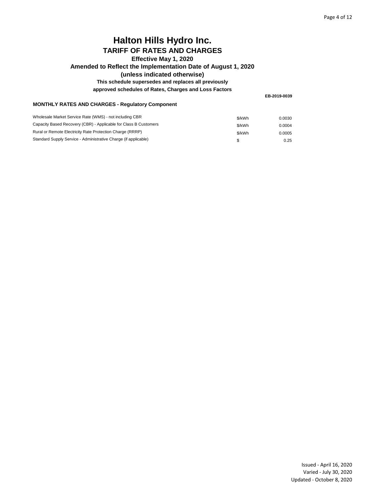## **Amended to Reflect the Implementation Date of August 1, 2020**

### **(unless indicated otherwise)**

### **This schedule supersedes and replaces all previously**

**approved schedules of Rates, Charges and Loss Factors**

**EB-2019-0039**

### **MONTHLY RATES AND CHARGES - Regulatory Component**

| Wholesale Market Service Rate (WMS) - not including CBR          | \$/kWh | 0.0030 |
|------------------------------------------------------------------|--------|--------|
| Capacity Based Recovery (CBR) - Applicable for Class B Customers | \$/kWh | 0.0004 |
| Rural or Remote Electricity Rate Protection Charge (RRRP)        | \$/kWh | 0.0005 |
| Standard Supply Service - Administrative Charge (if applicable)  |        | 0.25   |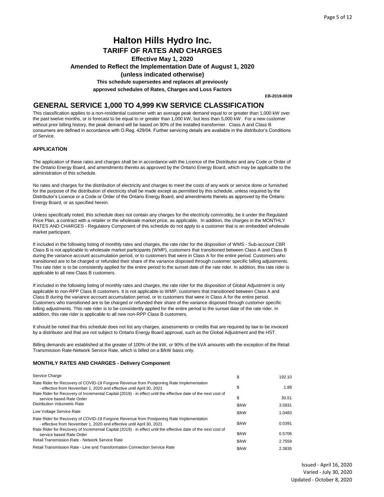## **Halton Hills Hydro Inc. TARIFF OF RATES AND CHARGES**

**Effective May 1, 2020** 

**Amended to Reflect the Implementation Date of August 1, 2020** 

### **(unless indicated otherwise)**

**This schedule supersedes and replaces all previously**

**approved schedules of Rates, Charges and Loss Factors**

**EB-2019-0039**

### **GENERAL SERVICE 1,000 TO 4,999 KW SERVICE CLASSIFICATION**

This classification applies to a non-residential customer with an average peak demand equal to or greater than 1,000 kW over the past twelve months, or is forecast to be equal to or greater than 1,000 kW, but less than 5,000 kW. For a new customer without prior billing history, the peak demand will be based on 90% of the installed transformer. Class A and Class B consumers are defined in accordance with O.Reg. 429/04. Further servicing details are available in the distributor's Conditions of Service.

### **APPLICATION**

The application of these rates and charges shall be in accordance with the Licence of the Distributor and any Code or Order of the Ontario Energy Board, and amendments thereto as approved by the Ontario Energy Board, which may be applicable to the administration of this schedule.

No rates and charges for the distribution of electricity and charges to meet the costs of any work or service done or furnished for the purpose of the distribution of electricity shall be made except as permitted by this schedule, unless required by the Distributor's Licence or a Code or Order of the Ontario Energy Board, and amendments thereto as approved by the Ontario Energy Board, or as specified herein.

Unless specifically noted, this schedule does not contain any charges for the electricity commodity, be it under the Regulated Price Plan, a contract with a retailer or the wholesale market price, as applicable. In addition, the charges in the MONTHLY RATES AND CHARGES - Regulatory Component of this schedule do not apply to a customer that is an embedded wholesale market participant.

If included in the following listing of monthly rates and charges, the rate rider for the disposition of WMS - Sub-account CBR Class B is not applicable to wholesale market participants (WMP), customers that transitioned between Class A and Class B during the variance account accumulation period, or to customers that were in Class A for the entire period. Customers who transitioned are to be charged or refunded their share of the variance disposed through customer specific billing adjustments. This rate rider is to be consistently applied for the entire period to the sunset date of the rate rider. In addition, this rate rider is applicable to all new Class B customers.

If included in the following listing of monthly rates and charges, the rate rider for the disposition of Global Adjustment is only applicable to non-RPP Class B customers. It is not applicable to WMP, customers that transitioned between Class A and Class B during the variance account accumulation period, or to customers that were in Class A for the entire period. Customers who transitioned are to be charged or refunded their share of the variance disposed through customer specific billing adjustments. This rate rider is to be consistently applied for the entire period to the sunset date of the rate rider. In addition, this rate rider is applicable to all new non-RPP Class B customers.

It should be noted that this schedule does not list any charges, assessments or credits that are required by law to be invoiced by a distributor and that are not subject to Ontario Energy Board approval, such as the Global Adjustment and the HST.

Billing demands are established at the greater of 100% of the kW, or 90% of the kVA amounts with the exception of the Retail Transmission Rate-Network Service Rate, which is billed on a \$/kW basis only.

| Service Charge                                                                                                                                                  | \$      | 192.10 |
|-----------------------------------------------------------------------------------------------------------------------------------------------------------------|---------|--------|
| Rate Rider for Recovery of COVID-19 Forgone Revenue from Postponing Rate Implementation<br>- effective from November 1, 2020 and effective until April 30, 2021 | \$      | 1.88   |
| Rate Rider for Recovery of Incremental Capital (2019) - in effect until the effective date of the next cost of<br>service based Rate Order                      | \$      | 30.51  |
| Distribution Volumetric Rate                                                                                                                                    | \$/kW   | 3.5931 |
| Low Voltage Service Rate                                                                                                                                        | \$/kW   | 1.0483 |
| Rate Rider for Recovery of COVID-19 Forgone Revenue from Postponing Rate Implementation<br>- effective from November 1, 2020 and effective until April 30, 2021 | \$/kW   | 0.0391 |
| Rate Rider for Recovery of Incremental Capital (2019) - in effect until the effective date of the next cost of<br>service based Rate Order                      | \$/kW   | 0.5706 |
| Retail Transmission Rate - Network Service Rate                                                                                                                 | \$/kW   | 2.7559 |
| Retail Transmission Rate - Line and Transformation Connection Service Rate                                                                                      | $$$ /kW | 2.3835 |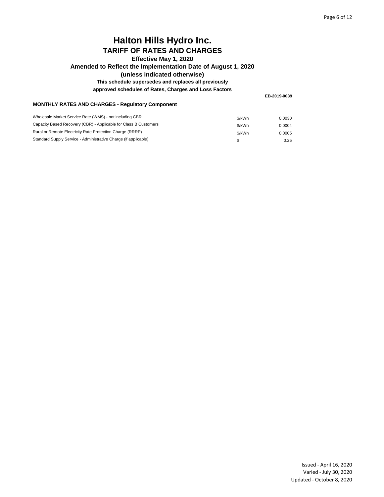## **Amended to Reflect the Implementation Date of August 1, 2020**

### **(unless indicated otherwise)**

### **This schedule supersedes and replaces all previously**

**approved schedules of Rates, Charges and Loss Factors**

**EB-2019-0039**

### **MONTHLY RATES AND CHARGES - Regulatory Component**

| Wholesale Market Service Rate (WMS) - not including CBR          | \$/kWh | 0.0030 |
|------------------------------------------------------------------|--------|--------|
| Capacity Based Recovery (CBR) - Applicable for Class B Customers | \$/kWh | 0.0004 |
| Rural or Remote Electricity Rate Protection Charge (RRRP)        | \$/kWh | 0.0005 |
| Standard Supply Service - Administrative Charge (if applicable)  |        | 0.25   |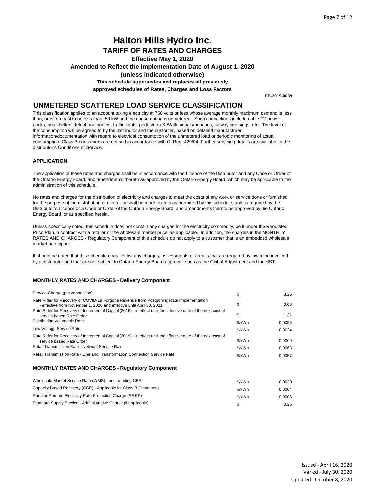## **Halton Hills Hydro Inc. TARIFF OF RATES AND CHARGES**

**Effective May 1, 2020** 

**Amended to Reflect the Implementation Date of August 1, 2020** 

### **(unless indicated otherwise)**

**This schedule supersedes and replaces all previously**

**approved schedules of Rates, Charges and Loss Factors**

**EB-2019-0039**

## **UNMETERED SCATTERED LOAD SERVICE CLASSIFICATION**

This classification applies to an account taking electricity at 750 volts or less whose average monthly maximum demand is less than, or is forecast to be less than, 50 kW and the consumption is unmetered. Such connections include cable TV power packs, bus shelters, telephone booths, traffic lights, pedestrian X-Walk signals/beacons, railway crossings, etc. The level of the consumption will be agreed to by the distributor and the customer, based on detailed manufacturer information/documentation with regard to electrical consumption of the unmetered load or periodic monitoring of actual consumption. Class B consumers are defined in accordance with O. Reg. 429/04. Further servicing details are available in the distributor's Conditions of Service.

### **APPLICATION**

The application of these rates and charges shall be in accordance with the Licence of the Distributor and any Code or Order of the Ontario Energy Board, and amendments thereto as approved by the Ontario Energy Board, which may be applicable to the administration of this schedule.

No rates and charges for the distribution of electricity and charges to meet the costs of any work or service done or furnished for the purpose of the distribution of electricity shall be made except as permitted by this schedule, unless required by the Distributor's Licence or a Code or Order of the Ontario Energy Board, and amendments thereto as approved by the Ontario Energy Board, or as specified herein.

Unless specifically noted, this schedule does not contain any charges for the electricity commodity, be it under the Regulated Price Plan, a contract with a retailer or the wholesale market price, as applicable. In addition, the charges in the MONTHLY RATES AND CHARGES - Regulatory Component of this schedule do not apply to a customer that is an embedded wholesale market participant.

It should be noted that this schedule does not list any charges, assessments or credits that are required by law to be invoiced by a distributor and that are not subject to Ontario Energy Board approval, such as the Global Adjustment and the HST.

#### **MONTHLY RATES AND CHARGES - Delivery Component**

| Service Charge (per connection)                                                                                                                                                               | \$               | 8.25             |
|-----------------------------------------------------------------------------------------------------------------------------------------------------------------------------------------------|------------------|------------------|
| Rate Rider for Recovery of COVID-19 Forgone Revenue from Postponing Rate Implementation<br>- effective from November 1, 2020 and effective until April 30, 2021                               | \$               | 0.08             |
| Rate Rider for Recovery of Incremental Capital (2019) - in effect until the effective date of the next cost of<br>service based Rate Order                                                    | \$               | 1.31             |
| <b>Distribution Volumetric Rate</b>                                                                                                                                                           | \$/kWh           | 0.0056           |
| Low Voltage Service Rate                                                                                                                                                                      | \$/kWh           | 0.0024           |
| Rate Rider for Recovery of Incremental Capital (2019) - in effect until the effective date of the next cost of<br>service based Rate Order<br>Retail Transmission Rate - Network Service Rate | \$/kWh<br>\$/kWh | 0.0009<br>0.0063 |
| Retail Transmission Rate - Line and Transformation Connection Service Rate                                                                                                                    | \$/kWh           | 0.0057           |
| <b>MONTHLY RATES AND CHARGES - Requiatory Component</b>                                                                                                                                       |                  |                  |
| Wholesale Market Service Rate (WMS) - not including CBR                                                                                                                                       | \$/kWh           | 0.0030           |

\$/kWh 0.0004 \$/kWh 0.0005 0.25 Capacity Based Recovery (CBR) - Applicable for Class B Customers Rural or Remote Electricity Rate Protection Charge (RRRP) Standard Supply Service - Administrative Charge (if applicable)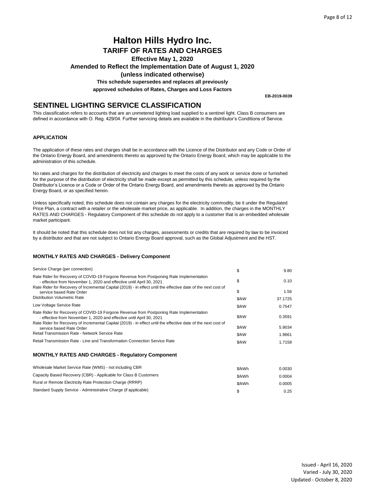**Amended to Reflect the Implementation Date of August 1, 2020** 

**(unless indicated otherwise)**

**This schedule supersedes and replaces all previously**

**approved schedules of Rates, Charges and Loss Factors**

**EB-2019-0039**

## **SENTINEL LIGHTING SERVICE CLASSIFICATION**

This classification refers to accounts that are an unmetered lighting load supplied to a sentinel light. Class B consumers are defined in accordance with O. Reg. 429/04. Further servicing details are available in the distributor's Conditions of Service.

### **APPLICATION**

The application of these rates and charges shall be in accordance with the Licence of the Distributor and any Code or Order of the Ontario Energy Board, and amendments thereto as approved by the Ontario Energy Board, which may be applicable to the administration of this schedule.

No rates and charges for the distribution of electricity and charges to meet the costs of any work or service done or furnished for the purpose of the distribution of electricity shall be made except as permitted by this schedule, unless required by the Distributor's Licence or a Code or Order of the Ontario Energy Board, and amendments thereto as approved by the Ontario Energy Board, or as specified herein.

Unless specifically noted, this schedule does not contain any charges for the electricity commodity, be it under the Regulated Price Plan, a contract with a retailer or the wholesale market price, as applicable. In addition, the charges in the MONTHLY RATES AND CHARGES - Regulatory Component of this schedule do not apply to a customer that is an embedded wholesale market participant.

It should be noted that this schedule does not list any charges, assessments or credits that are required by law to be invoiced by a distributor and that are not subject to Ontario Energy Board approval, such as the Global Adjustment and the HST.

| Service Charge (per connection)                                                                                                                                 | \$     | 9.80    |
|-----------------------------------------------------------------------------------------------------------------------------------------------------------------|--------|---------|
| Rate Rider for Recovery of COVID-19 Forgone Revenue from Postponing Rate Implementation<br>- effective from November 1, 2020 and effective until April 30, 2021 | \$     | 0.10    |
| Rate Rider for Recovery of Incremental Capital (2019) - in effect until the effective date of the next cost of<br>service based Rate Order                      | \$     | 1.56    |
| Distribution Volumetric Rate                                                                                                                                    | \$/kW  | 37.1725 |
| Low Voltage Service Rate                                                                                                                                        | \$/kW  | 0.7547  |
| Rate Rider for Recovery of COVID-19 Forgone Revenue from Postponing Rate Implementation<br>- effective from November 1, 2020 and effective until April 30, 2021 | \$/kW  | 0.3591  |
| Rate Rider for Recovery of Incremental Capital (2019) - in effect until the effective date of the next cost of<br>service based Rate Order                      | \$/kW  | 5.9034  |
| Retail Transmission Rate - Network Service Rate                                                                                                                 | \$/kW  | 1.9661  |
| Retail Transmission Rate - Line and Transformation Connection Service Rate                                                                                      | \$/kW  | 1.7158  |
| <b>MONTHLY RATES AND CHARGES - Requiatory Component</b>                                                                                                         |        |         |
| Wholesale Market Service Rate (WMS) - not including CBR                                                                                                         | \$/kWh | 0.0030  |
| Capacity Based Recovery (CBR) - Applicable for Class B Customers                                                                                                | \$/kWh | 0.0004  |
| Rural or Remote Electricity Rate Protection Charge (RRRP)                                                                                                       | \$/kWh | 0.0005  |
| Standard Supply Service - Administrative Charge (if applicable)                                                                                                 | \$     | 0.25    |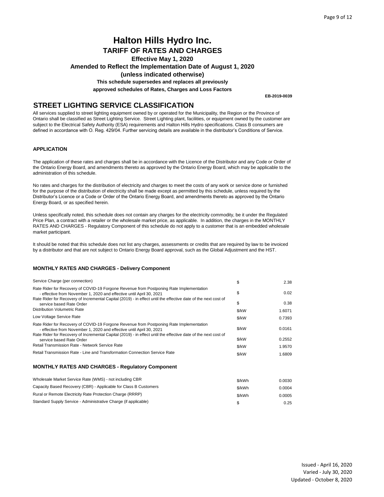## **Halton Hills Hydro Inc. TARIFF OF RATES AND CHARGES Effective May 1, 2020 Amended to Reflect the Implementation Date of August 1, 2020**

## **(unless indicated otherwise)**

**This schedule supersedes and replaces all previously**

**approved schedules of Rates, Charges and Loss Factors**

**EB-2019-0039**

### **STREET LIGHTING SERVICE CLASSIFICATION**

All services supplied to street lighting equipment owned by or operated for the Municipality, the Region or the Province of Ontario shall be classified as Street Lighting Service. Street Lighting plant, facilities, or equipment owned by the customer are subject to the Electrical Safety Authority (ESA) requirements and Halton Hills Hydro specifications. Class B consumers are defined in accordance with O. Reg. 429/04. Further servicing details are available in the distributor's Conditions of Service.

### **APPLICATION**

The application of these rates and charges shall be in accordance with the Licence of the Distributor and any Code or Order of the Ontario Energy Board, and amendments thereto as approved by the Ontario Energy Board, which may be applicable to the administration of this schedule.

No rates and charges for the distribution of electricity and charges to meet the costs of any work or service done or furnished for the purpose of the distribution of electricity shall be made except as permitted by this schedule, unless required by the Distributor's Licence or a Code or Order of the Ontario Energy Board, and amendments thereto as approved by the Ontario Energy Board, or as specified herein.

Unless specifically noted, this schedule does not contain any charges for the electricity commodity, be it under the Regulated Price Plan, a contract with a retailer or the wholesale market price, as applicable. In addition, the charges in the MONTHLY RATES AND CHARGES - Regulatory Component of this schedule do not apply to a customer that is an embedded wholesale market participant.

It should be noted that this schedule does not list any charges, assessments or credits that are required by law to be invoiced by a distributor and that are not subject to Ontario Energy Board approval, such as the Global Adjustment and the HST.

### **MONTHLY RATES AND CHARGES - Delivery Component**

| Service Charge (per connection)                                                                                                                                                                                                                                                   | \$     | 2.38   |
|-----------------------------------------------------------------------------------------------------------------------------------------------------------------------------------------------------------------------------------------------------------------------------------|--------|--------|
| Rate Rider for Recovery of COVID-19 Forgone Revenue from Postponing Rate Implementation<br>- effective from November 1, 2020 and effective until April 30, 2021                                                                                                                   | \$     | 0.02   |
| Rate Rider for Recovery of Incremental Capital (2019) - in effect until the effective date of the next cost of<br>service based Rate Order                                                                                                                                        | \$     | 0.38   |
| <b>Distribution Volumetric Rate</b>                                                                                                                                                                                                                                               | \$/kW  | 1.6071 |
| Low Voltage Service Rate                                                                                                                                                                                                                                                          | \$/kW  | 0.7393 |
| Rate Rider for Recovery of COVID-19 Forgone Revenue from Postponing Rate Implementation<br>- effective from November 1, 2020 and effective until April 30, 2021<br>Rate Rider for Recovery of Incremental Capital (2019) - in effect until the effective date of the next cost of | \$/kW  | 0.0161 |
| service based Rate Order                                                                                                                                                                                                                                                          | \$/kW  | 0.2552 |
| Retail Transmission Rate - Network Service Rate                                                                                                                                                                                                                                   | \$/kW  | 1.9570 |
| Retail Transmission Rate - Line and Transformation Connection Service Rate                                                                                                                                                                                                        | \$/kW  | 1.6809 |
| <b>MONTHLY RATES AND CHARGES - Regulatory Component</b>                                                                                                                                                                                                                           |        |        |
| Wholesale Market Service Rate (WMS) - not including CBR                                                                                                                                                                                                                           | \$/kWh | 0.0030 |
| Capacity Based Recovery (CBR) - Applicable for Class B Customers                                                                                                                                                                                                                  | \$/kWh | 0.0004 |
| Rural or Remote Electricity Rate Protection Charge (RRRP)                                                                                                                                                                                                                         | \$/kWh | 0.0005 |

 $\$\qquad \qquad 0.25$ Rural or Remote Electricity Rate Protection Charge (RRRP) Standard Supply Service - Administrative Charge (if applicable)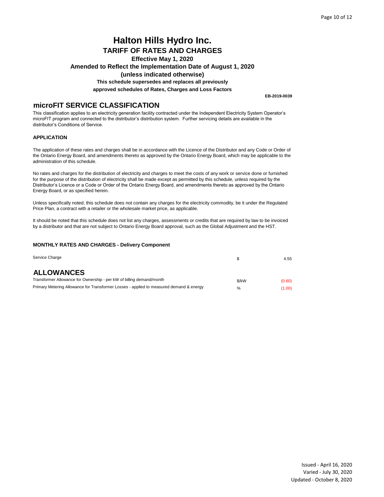## **Halton Hills Hydro Inc. TARIFF OF RATES AND CHARGES Effective May 1, 2020 Amended to Reflect the Implementation Date of August 1, 2020**

**(unless indicated otherwise)**

**This schedule supersedes and replaces all previously**

**approved schedules of Rates, Charges and Loss Factors**

**microFIT SERVICE CLASSIFICATION**

This classification applies to an electricity generation facility contracted under the Independent Electricity System Operator's microFIT program and connected to the distributor's distribution system. Further servicing details are available in the distributor's Conditions of Service.

### **APPLICATION**

The application of these rates and charges shall be in accordance with the Licence of the Distributor and any Code or Order of the Ontario Energy Board, and amendments thereto as approved by the Ontario Energy Board, which may be applicable to the administration of this schedule.

No rates and charges for the distribution of electricity and charges to meet the costs of any work or service done or furnished for the purpose of the distribution of electricity shall be made except as permitted by this schedule, unless required by the Distributor's Licence or a Code or Order of the Ontario Energy Board, and amendments thereto as approved by the Ontario Energy Board, or as specified herein.

Unless specifically noted, this schedule does not contain any charges for the electricity commodity, be it under the Regulated Price Plan, a contract with a retailer or the wholesale market price, as applicable.

It should be noted that this schedule does not list any charges, assessments or credits that are required by law to be invoiced by a distributor and that are not subject to Ontario Energy Board approval, such as the Global Adjustment and the HST.

#### **MONTHLY RATES AND CHARGES - Delivery Component**

| Service Charge                                                                          |               | 4.55   |
|-----------------------------------------------------------------------------------------|---------------|--------|
| <b>ALLOWANCES</b>                                                                       |               |        |
| Transformer Allowance for Ownership - per kW of billing demand/month                    | $$$ /kW       | (0.60) |
| Primary Metering Allowance for Transformer Losses - applied to measured demand & energy | $\frac{0}{0}$ | (1.00) |

Issued - April 16, 2020 Varied - July 30, 2020 Updated - October 8, 2020

**EB-2019-0039**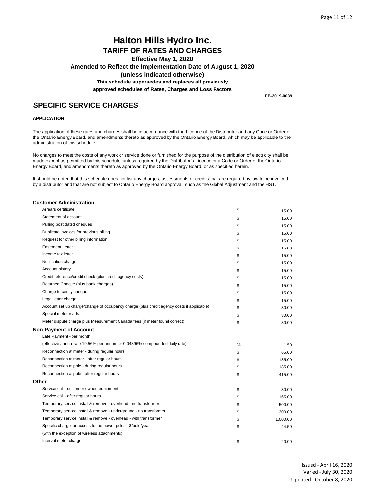## **Halton Hills Hydro Inc. TARIFF OF RATES AND CHARGES Effective May 1, 2020 Amended to Reflect the Implementation Date of August 1, 2020 (unless indicated otherwise) This schedule supersedes and replaces all previously approved schedules of Rates, Charges and Loss Factors**

**EB-2019-0039**

## **SPECIFIC SERVICE CHARGES**

#### **APPLICATION**

The application of these rates and charges shall be in accordance with the Licence of the Distributor and any Code or Order of the Ontario Energy Board, and amendments thereto as approved by the Ontario Energy Board, which may be applicable to the administration of this schedule.

No charges to meet the costs of any work or service done or furnished for the purpose of the distribution of electricity shall be made except as permitted by this schedule, unless required by the Distributor's Licence or a Code or Order of the Ontario Energy Board, and amendments thereto as approved by the Ontario Energy Board, or as specified herein.

It should be noted that this schedule does not list any charges, assessments or credits that are required by law to be invoiced by a distributor and that are not subject to Ontario Energy Board approval, such as the Global Adjustment and the HST.

| <b>Customer Administration</b>                                                            |      |          |
|-------------------------------------------------------------------------------------------|------|----------|
| Arrears certificate                                                                       | \$   | 15.00    |
| Statement of account                                                                      | \$   | 15.00    |
| Pulling post dated cheques                                                                | \$   | 15.00    |
| Duplicate invoices for previous billing                                                   | \$   | 15.00    |
| Request for other billing information                                                     | \$   | 15.00    |
| <b>Easement Letter</b>                                                                    | \$   | 15.00    |
| Income tax letter                                                                         | \$   | 15.00    |
| Notification charge                                                                       | \$   | 15.00    |
| Account history                                                                           | \$   | 15.00    |
| Credit reference/credit check (plus credit agency costs)                                  | \$   | 15.00    |
| Returned Cheque (plus bank charges)                                                       | \$   | 15.00    |
| Charge to certify cheque                                                                  | \$   | 15.00    |
| Legal letter charge                                                                       | \$   | 15.00    |
| Account set up charge/change of occupancy charge (plus credit agency costs if applicable) | \$   | 30.00    |
| Special meter reads                                                                       | \$   | 30.00    |
| Meter dispute charge plus Measurement Canada fees (if meter found correct)                | \$   | 30.00    |
| <b>Non-Payment of Account</b>                                                             |      |          |
| Late Payment - per month                                                                  |      |          |
| (effective annual rate 19.56% per annum or 0.04896% compounded daily rate)                | $\%$ | 1.50     |
| Reconnection at meter - during regular hours                                              | \$   | 65.00    |
| Reconnection at meter - after regular hours                                               | \$   | 185.00   |
| Reconnection at pole - during regular hours                                               | \$   | 185.00   |
| Reconnection at pole - after regular hours                                                | \$   | 415.00   |
| Other                                                                                     |      |          |
| Service call - customer owned equipment                                                   | \$   | 30.00    |
| Service call - after regular hours                                                        | \$   | 165.00   |
| Temporary service install & remove - overhead - no transformer                            | \$   | 500.00   |
| Temporary service install & remove - underground - no transformer                         | \$   | 300.00   |
| Temporary service install & remove - overhead - with transformer                          | \$   | 1,000.00 |
| Specific charge for access to the power poles - \$/pole/year                              | \$   | 44.50    |
| (with the exception of wireless attachments)                                              |      |          |
| Interval meter charge                                                                     | \$   | 20.00    |